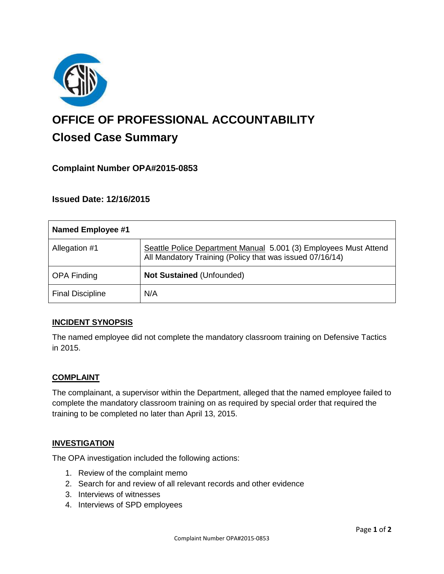

# **OFFICE OF PROFESSIONAL ACCOUNTABILITY Closed Case Summary**

# **Complaint Number OPA#2015-0853**

**Issued Date: 12/16/2015**

| Named Employee #1       |                                                                                                                              |
|-------------------------|------------------------------------------------------------------------------------------------------------------------------|
| Allegation #1           | Seattle Police Department Manual 5.001 (3) Employees Must Attend<br>All Mandatory Training (Policy that was issued 07/16/14) |
| <b>OPA Finding</b>      | <b>Not Sustained (Unfounded)</b>                                                                                             |
| <b>Final Discipline</b> | N/A                                                                                                                          |

## **INCIDENT SYNOPSIS**

The named employee did not complete the mandatory classroom training on Defensive Tactics in 2015.

## **COMPLAINT**

The complainant, a supervisor within the Department, alleged that the named employee failed to complete the mandatory classroom training on as required by special order that required the training to be completed no later than April 13, 2015.

#### **INVESTIGATION**

The OPA investigation included the following actions:

- 1. Review of the complaint memo
- 2. Search for and review of all relevant records and other evidence
- 3. Interviews of witnesses
- 4. Interviews of SPD employees